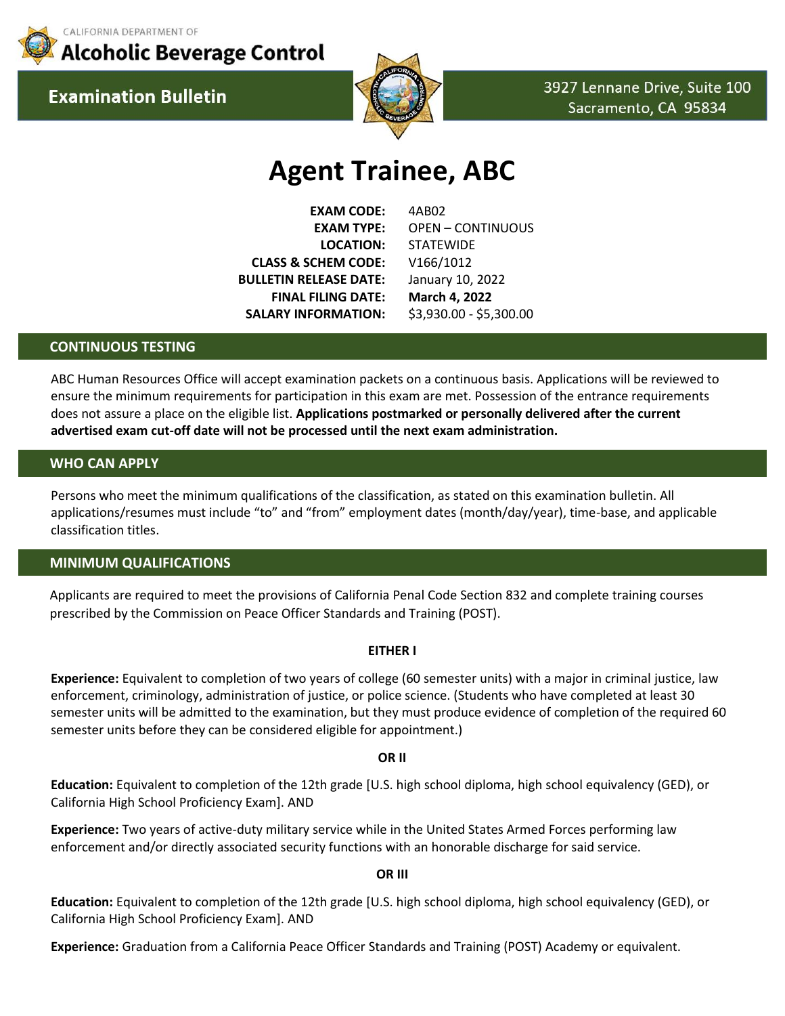

CALIFORNIA DEPARTMENT OF **Alcoholic Beverage Control** 

**Examination Bulletin** 



3927 Lennane Drive, Suite 100 Sacramento, CA 95834

# **Agent Trainee, ABC**

**EXAM CODE:** 4AB02 **LOCATION:** STATEWIDE **CLASS & SCHEM CODE:** V166/1012 **BULLETIN RELEASE DATE:** January 10, 2022 **FINAL FILING DATE: March 4, 2022 SALARY INFORMATION:** \$3,930.00 - \$5,300.00

**EXAM TYPE:** OPEN – CONTINUOUS

## **CONTINUOUS TESTING**

ABC Human Resources Office will accept examination packets on a continuous basis. Applications will be reviewed to ensure the minimum requirements for participation in this exam are met. Possession of the entrance requirements does not assure a place on the eligible list. **Applications postmarked or personally delivered after the current advertised exam cut-off date will not be processed until the next exam administration.**

## **WHO CAN APPLY**

Persons who meet the minimum qualifications of the classification, as stated on this examination bulletin. All applications/resumes must include "to" and "from" employment dates (month/day/year), time-base, and applicable classification titles.

#### **MINIMUM QUALIFICATIONS**

Applicants are required to meet the provisions of California Penal Code Section 832 and complete training courses prescribed by the Commission on Peace Officer Standards and Training (POST).

#### **EITHER I**

**Experience:** Equivalent to completion of two years of college (60 semester units) with a major in criminal justice, law enforcement, criminology, administration of justice, or police science. (Students who have completed at least 30 semester units will be admitted to the examination, but they must produce evidence of completion of the required 60 semester units before they can be considered eligible for appointment.)

#### **OR II**

**Education:** Equivalent to completion of the 12th grade [U.S. high school diploma, high school equivalency (GED), or California High School Proficiency Exam]. AND

**Experience:** Two years of active-duty military service while in the United States Armed Forces performing law enforcement and/or directly associated security functions with an honorable discharge for said service.

## **OR III**

**Education:** Equivalent to completion of the 12th grade [U.S. high school diploma, high school equivalency (GED), or California High School Proficiency Exam]. AND

**Experience:** Graduation from a California Peace Officer Standards and Training (POST) Academy or equivalent.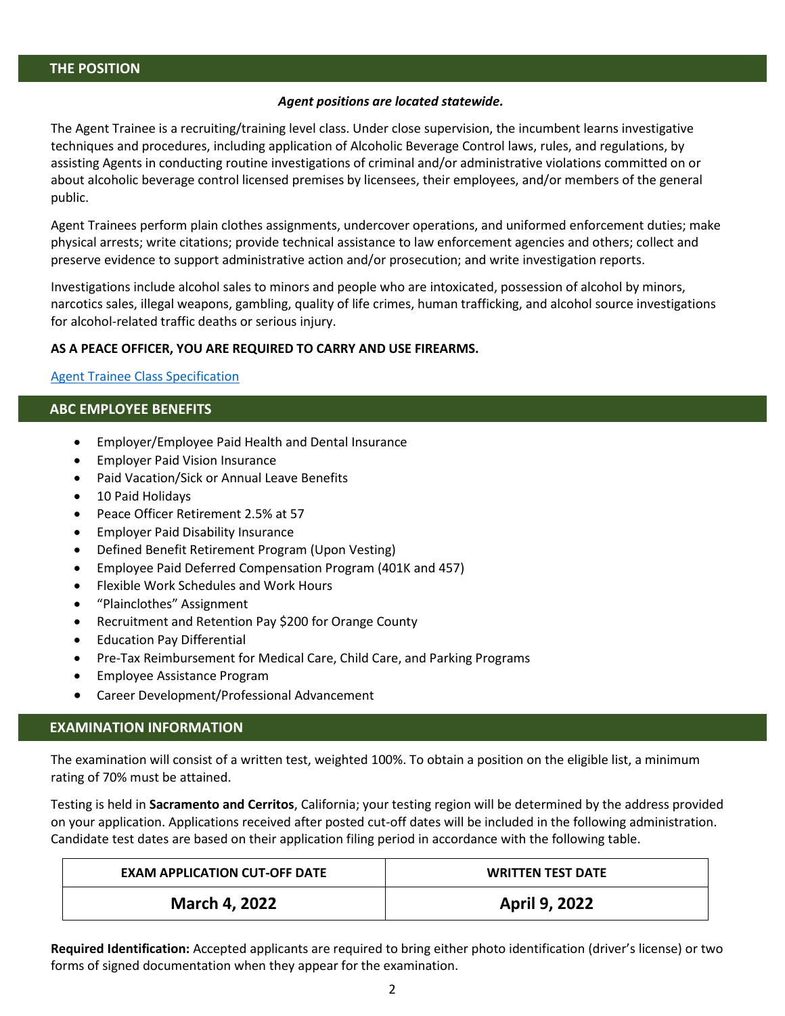## *Agent positions are located statewide.*

The Agent Trainee is a recruiting/training level class. Under close supervision, the incumbent learns investigative techniques and procedures, including application of Alcoholic Beverage Control laws, rules, and regulations, by assisting Agents in conducting routine investigations of criminal and/or administrative violations committed on or about alcoholic beverage control licensed premises by licensees, their employees, and/or members of the general public.

Agent Trainees perform plain clothes assignments, undercover operations, and uniformed enforcement duties; make physical arrests; write citations; provide technical assistance to law enforcement agencies and others; collect and preserve evidence to support administrative action and/or prosecution; and write investigation reports.

Investigations include alcohol sales to minors and people who are intoxicated, possession of alcohol by minors, narcotics sales, illegal weapons, gambling, quality of life crimes, human trafficking, and alcohol source investigations for alcohol-related traffic deaths or serious injury.

## **AS A PEACE OFFICER, YOU ARE REQUIRED TO CARRY AND USE FIREARMS.**

## [Agent Trainee Class](https://www.calhr.ca.gov/state-hr-professionals/Pages/1012.aspx) Specification

# **ABC EMPLOYEE BENEFITS**

- Employer/Employee Paid Health and Dental Insurance
- Employer Paid Vision Insurance
- Paid Vacation/Sick or Annual Leave Benefits
- 10 Paid Holidays
- Peace Officer Retirement 2.5% at 57
- Employer Paid Disability Insurance
- Defined Benefit Retirement Program (Upon Vesting)
- Employee Paid Deferred Compensation Program (401K and 457)
- Flexible Work Schedules and Work Hours
- "Plainclothes" Assignment
- Recruitment and Retention Pay \$200 for Orange County
- Education Pay Differential
- Pre-Tax Reimbursement for Medical Care, Child Care, and Parking Programs
- Employee Assistance Program
- Career Development/Professional Advancement

# **EXAMINATION INFORMATION**

The examination will consist of a written test, weighted 100%. To obtain a position on the eligible list, a minimum rating of 70% must be attained.

Testing is held in **Sacramento and Cerritos**, California; your testing region will be determined by the address provided on your application. Applications received after posted cut-off dates will be included in the following administration. Candidate test dates are based on their application filing period in accordance with the following table.

| <b>EXAM APPLICATION CUT-OFF DATE</b> | <b>WRITTEN TEST DATE</b> |
|--------------------------------------|--------------------------|
| <b>March 4, 2022</b>                 | <b>April 9, 2022</b>     |

**Required Identification:** Accepted applicants are required to bring either photo identification (driver's license) or two forms of signed documentation when they appear for the examination.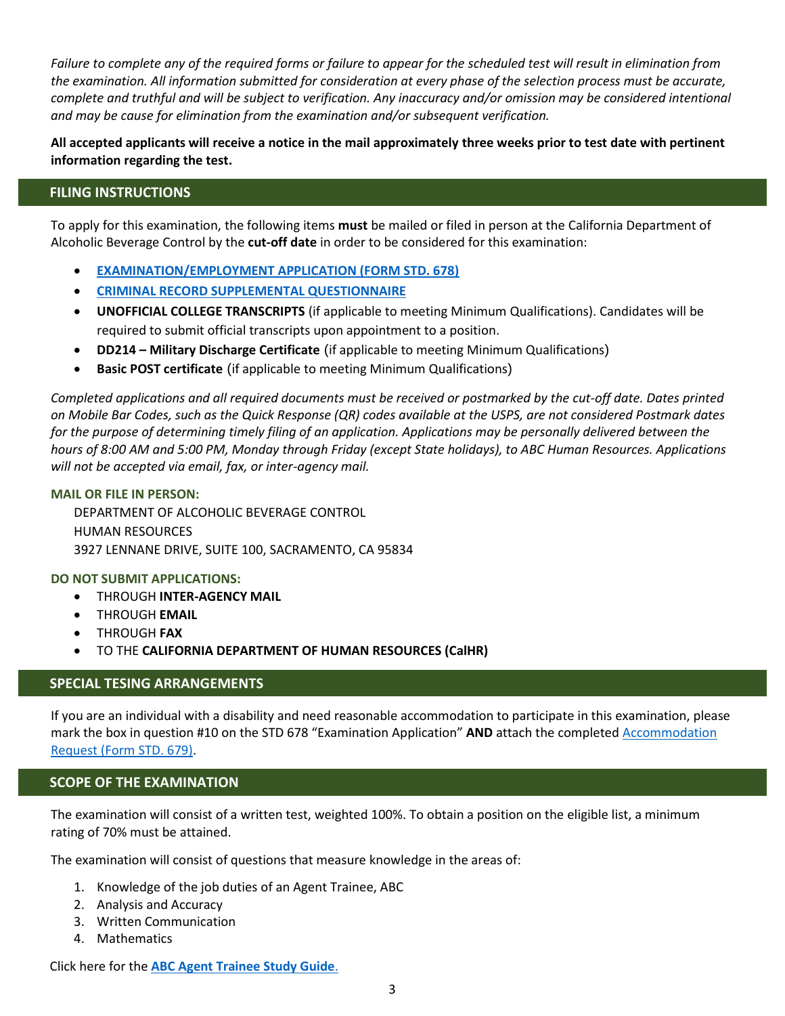*Failure to complete any of the required forms or failure to appear for the scheduled test will result in elimination from the examination. All information submitted for consideration at every phase of the selection process must be accurate, complete and truthful and will be subject to verification. Any inaccuracy and/or omission may be considered intentional and may be cause for elimination from the examination and/or subsequent verification.*

**All accepted applicants will receive a notice in the mail approximately three weeks prior to test date with pertinent information regarding the test.**

# **FILING INSTRUCTIONS**

To apply for this examination, the following items **must** be mailed or filed in person at the California Department of Alcoholic Beverage Control by the **cut-off date** in order to be considered for this examination:

- **[EXAMINATION/EMPLOYMENT APPLICATION \(FORM STD. 678\)](https://calcareers.ca.gov/pdf/STD678.pdf)**
- **[CRIMINAL RECORD SUPPLEMENTAL QUESTIONNAIRE](https://jobs.ca.gov/pdf/crsq.pdf)**
- **UNOFFICIAL COLLEGE TRANSCRIPTS** (if applicable to meeting Minimum Qualifications). Candidates will be required to submit official transcripts upon appointment to a position.
- **DD214 – Military Discharge Certificate** (if applicable to meeting Minimum Qualifications)
- **Basic POST certificate** (if applicable to meeting Minimum Qualifications)

*Completed applications and all required documents must be received or postmarked by the cut-off date. Dates printed on Mobile Bar Codes, such as the Quick Response (QR) codes available at the USPS, are not considered Postmark dates*  for the purpose of determining timely filing of an application. Applications may be personally delivered between the *hours of 8:00 AM and 5:00 PM, Monday through Friday (except State holidays), to ABC Human Resources. Applications will not be accepted via email, fax, or inter-agency mail.*

## **MAIL OR FILE IN PERSON:**

DEPARTMENT OF ALCOHOLIC BEVERAGE CONTROL HUMAN RESOURCES 3927 LENNANE DRIVE, SUITE 100, SACRAMENTO, CA 95834

## **DO NOT SUBMIT APPLICATIONS:**

- THROUGH **INTER-AGENCY MAIL**
- THROUGH **EMAIL**
- THROUGH **FAX**
- TO THE **CALIFORNIA DEPARTMENT OF HUMAN RESOURCES (CalHR)**

# **SPECIAL TESING ARRANGEMENTS**

If you are an individual with a disability and need reasonable accommodation to participate in this examination, please mark the box in question #10 on the STD 678 "Examination Application" **AND** attach the complete[d Accommodation](https://jobs.ca.gov/pdf/STD679.pdf)  [Request \(Form STD. 679\).](https://jobs.ca.gov/pdf/STD679.pdf)

## **SCOPE OF THE EXAMINATION**

The examination will consist of a written test, weighted 100%. To obtain a position on the eligible list, a minimum rating of 70% must be attained.

The examination will consist of questions that measure knowledge in the areas of:

- 1. Knowledge of the job duties of an Agent Trainee, ABC
- 2. Analysis and Accuracy
- 3. Written Communication
- 4. Mathematics

Click here for the **[ABC Agent Trainee Study Guide](https://www.abc.ca.gov/wp-content/uploads/2019/07/AgentTraineeStudyGuide.pdf)**.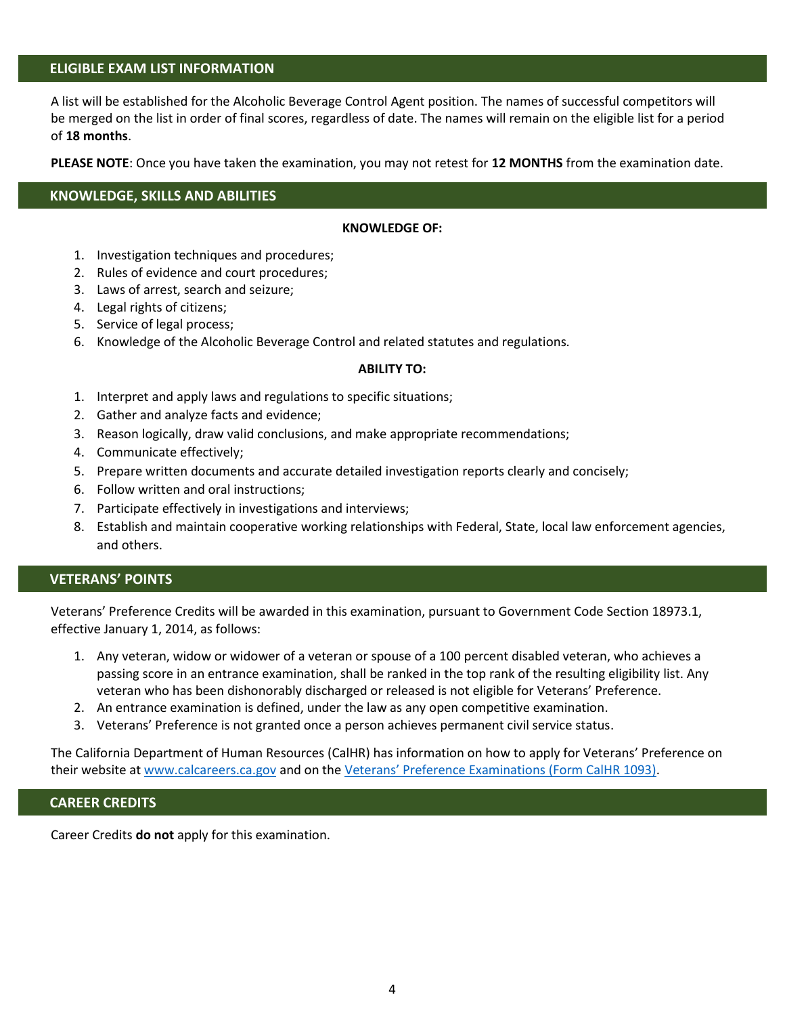## **ELIGIBLE EXAM LIST INFORMATION**

A list will be established for the Alcoholic Beverage Control Agent position. The names of successful competitors will be merged on the list in order of final scores, regardless of date. The names will remain on the eligible list for a period of **18 months**.

**PLEASE NOTE**: Once you have taken the examination, you may not retest for **12 MONTHS** from the examination date.

## **KNOWLEDGE, SKILLS AND ABILITIES**

#### **KNOWLEDGE OF:**

- 1. Investigation techniques and procedures;
- 2. Rules of evidence and court procedures;
- 3. Laws of arrest, search and seizure;
- 4. Legal rights of citizens;
- 5. Service of legal process;
- 6. Knowledge of the Alcoholic Beverage Control and related statutes and regulations.

#### **ABILITY TO:**

- 1. Interpret and apply laws and regulations to specific situations;
- 2. Gather and analyze facts and evidence;
- 3. Reason logically, draw valid conclusions, and make appropriate recommendations;
- 4. Communicate effectively;
- 5. Prepare written documents and accurate detailed investigation reports clearly and concisely;
- 6. Follow written and oral instructions;
- 7. Participate effectively in investigations and interviews;
- 8. Establish and maintain cooperative working relationships with Federal, State, local law enforcement agencies, and others.

## **VETERANS' POINTS**

Veterans' Preference Credits will be awarded in this examination, pursuant to Government Code Section 18973.1, effective January 1, 2014, as follows:

- 1. Any veteran, widow or widower of a veteran or spouse of a 100 percent disabled veteran, who achieves a passing score in an entrance examination, shall be ranked in the top rank of the resulting eligibility list. Any veteran who has been dishonorably discharged or released is not eligible for Veterans' Preference.
- 2. An entrance examination is defined, under the law as any open competitive examination.
- 3. Veterans' Preference is not granted once a person achieves permanent civil service status.

The California Department of Human Resources (CalHR) has information on how to apply for Veterans' Preference on their website a[t www.calcareers.ca.gov](https://www.calcareers.ca.gov/CalHRPublic/Landing/Jobs/VeteransInformation.aspx) and on the [Veterans' Preference Examinations \(Form CalHR 1093\)](https://www.calhr.ca.gov/Documents/CalHR-1093.pdf).

#### **CAREER CREDITS**

Career Credits **do not** apply for this examination.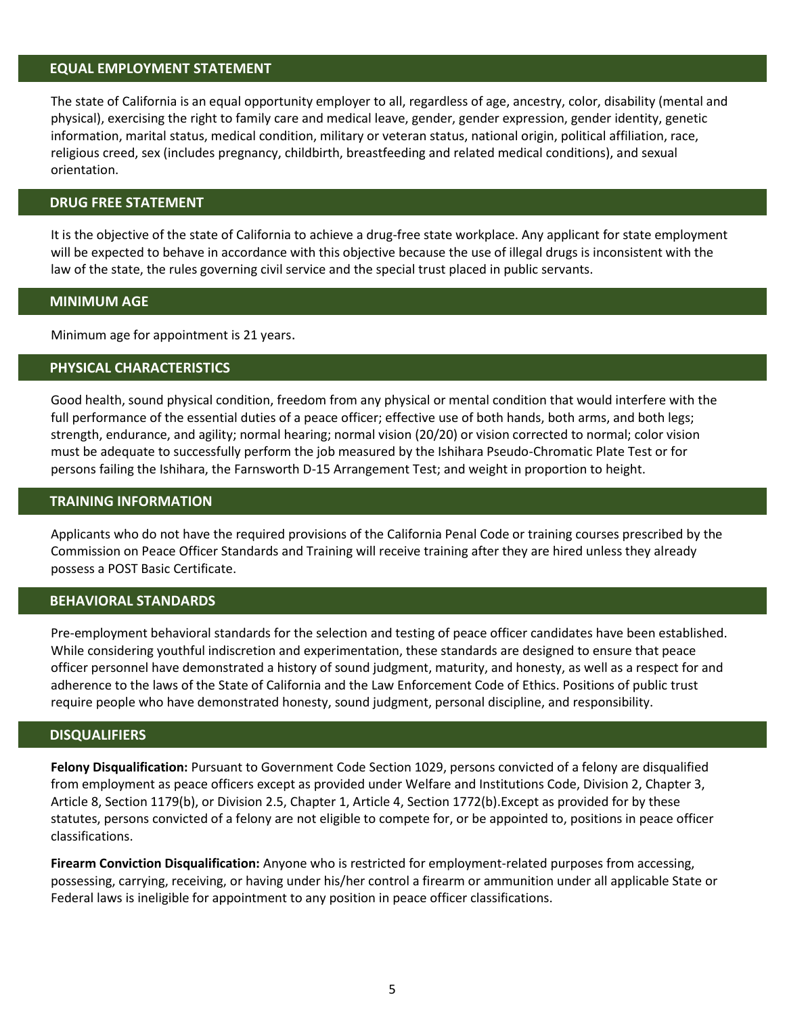# **EQUAL EMPLOYMENT STATEMENT**

The state of California is an equal opportunity employer to all, regardless of age, ancestry, color, disability (mental and physical), exercising the right to family care and medical leave, gender, gender expression, gender identity, genetic information, marital status, medical condition, military or veteran status, national origin, political affiliation, race, religious creed, sex (includes pregnancy, childbirth, breastfeeding and related medical conditions), and sexual orientation.

#### **DRUG FREE STATEMENT**

It is the objective of the state of California to achieve a drug-free state workplace. Any applicant for state employment will be expected to behave in accordance with this objective because the use of illegal drugs is inconsistent with the law of the state, the rules governing civil service and the special trust placed in public servants.

## **MINIMUM AGE**

Minimum age for appointment is 21 years.

## **PHYSICAL CHARACTERISTICS**

Good health, sound physical condition, freedom from any physical or mental condition that would interfere with the full performance of the essential duties of a peace officer; effective use of both hands, both arms, and both legs; strength, endurance, and agility; normal hearing; normal vision (20/20) or vision corrected to normal; color vision must be adequate to successfully perform the job measured by the Ishihara Pseudo-Chromatic Plate Test or for persons failing the Ishihara, the Farnsworth D-15 Arrangement Test; and weight in proportion to height.

## **TRAINING INFORMATION**

Applicants who do not have the required provisions of the California Penal Code or training courses prescribed by the Commission on Peace Officer Standards and Training will receive training after they are hired unless they already possess a POST Basic Certificate.

## **BEHAVIORAL STANDARDS**

Pre-employment behavioral standards for the selection and testing of peace officer candidates have been established. While considering youthful indiscretion and experimentation, these standards are designed to ensure that peace officer personnel have demonstrated a history of sound judgment, maturity, and honesty, as well as a respect for and adherence to the laws of the State of California and the Law Enforcement Code of Ethics. Positions of public trust require people who have demonstrated honesty, sound judgment, personal discipline, and responsibility.

#### **DISQUALIFIERS**

**Felony Disqualification:** Pursuant to Government Code Section 1029, persons convicted of a felony are disqualified from employment as peace officers except as provided under Welfare and Institutions Code, Division 2, Chapter 3, Article 8, Section 1179(b), or Division 2.5, Chapter 1, Article 4, Section 1772(b).Except as provided for by these statutes, persons convicted of a felony are not eligible to compete for, or be appointed to, positions in peace officer classifications.

**Firearm Conviction Disqualification:** Anyone who is restricted for employment-related purposes from accessing, possessing, carrying, receiving, or having under his/her control a firearm or ammunition under all applicable State or Federal laws is ineligible for appointment to any position in peace officer classifications.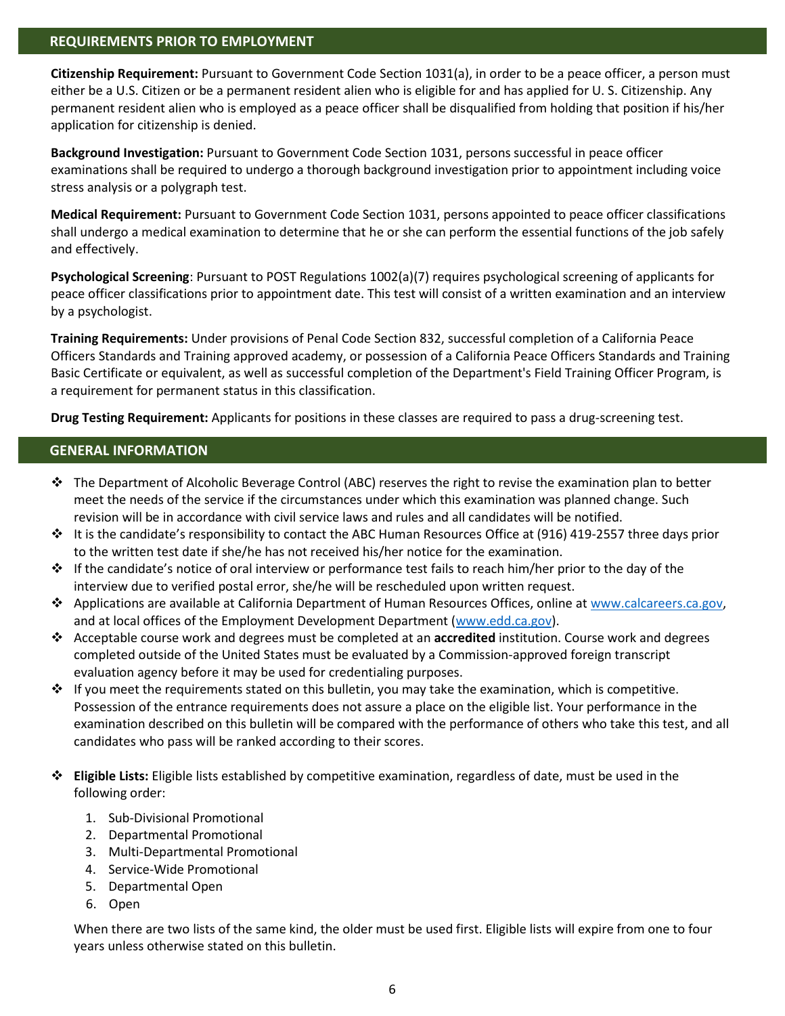# **REQUIREMENTS PRIOR TO EMPLOYMENT**

**Citizenship Requirement:** Pursuant to Government Code Section 1031(a), in order to be a peace officer, a person must either be a U.S. Citizen or be a permanent resident alien who is eligible for and has applied for U. S. Citizenship. Any permanent resident alien who is employed as a peace officer shall be disqualified from holding that position if his/her application for citizenship is denied.

**Background Investigation:** Pursuant to Government Code Section 1031, persons successful in peace officer examinations shall be required to undergo a thorough background investigation prior to appointment including voice stress analysis or a polygraph test.

**Medical Requirement:** Pursuant to Government Code Section 1031, persons appointed to peace officer classifications shall undergo a medical examination to determine that he or she can perform the essential functions of the job safely and effectively.

**Psychological Screening**: Pursuant to POST Regulations 1002(a)(7) requires psychological screening of applicants for peace officer classifications prior to appointment date. This test will consist of a written examination and an interview by a psychologist.

**Training Requirements:** Under provisions of Penal Code Section 832, successful completion of a California Peace Officers Standards and Training approved academy, or possession of a California Peace Officers Standards and Training Basic Certificate or equivalent, as well as successful completion of the Department's Field Training Officer Program, is a requirement for permanent status in this classification.

**Drug Testing Requirement:** Applicants for positions in these classes are required to pass a drug-screening test.

# **GENERAL INFORMATION**

- ❖ The Department of Alcoholic Beverage Control (ABC) reserves the right to revise the examination plan to better meet the needs of the service if the circumstances under which this examination was planned change. Such revision will be in accordance with civil service laws and rules and all candidates will be notified.
- ❖ It is the candidate's responsibility to contact the ABC Human Resources Office at (916) 419-2557 three days prior to the written test date if she/he has not received his/her notice for the examination.
- ❖ If the candidate's notice of oral interview or performance test fails to reach him/her prior to the day of the interview due to verified postal error, she/he will be rescheduled upon written request.
- ❖ Applications are available at California Department of Human Resources Offices, online a[t www.calcareers.ca.gov,](https://www.calcareers.ca.gov/) and at local offices of the Employment Development Department [\(www.edd.ca.gov\)](http://www.edd.ca.gov/).
- ❖ Acceptable course work and degrees must be completed at an **accredited** institution. Course work and degrees completed outside of the United States must be evaluated by a Commission-approved foreign transcript evaluation agency before it may be used for credentialing purposes.
- ❖ If you meet the requirements stated on this bulletin, you may take the examination, which is competitive. Possession of the entrance requirements does not assure a place on the eligible list. Your performance in the examination described on this bulletin will be compared with the performance of others who take this test, and all candidates who pass will be ranked according to their scores.
- ❖ **Eligible Lists:** Eligible lists established by competitive examination, regardless of date, must be used in the following order:
	- 1. Sub-Divisional Promotional
	- 2. Departmental Promotional
	- 3. Multi-Departmental Promotional
	- 4. Service-Wide Promotional
	- 5. Departmental Open
	- 6. Open

When there are two lists of the same kind, the older must be used first. Eligible lists will expire from one to four years unless otherwise stated on this bulletin.